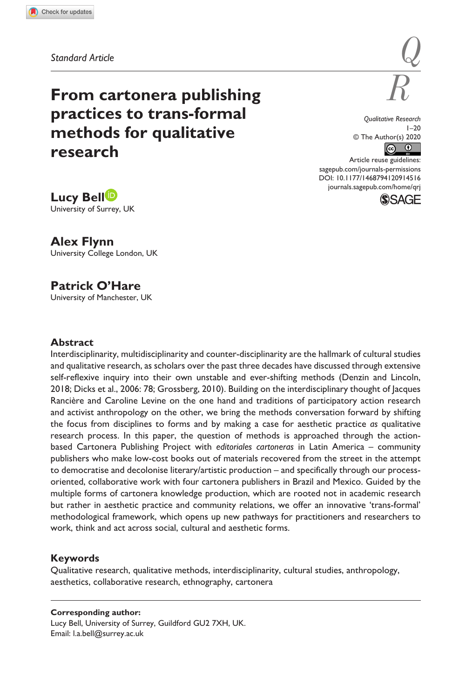**9145[16](http://crossmark.crossref.org/dialog/?doi=10.1177%2F1468794120914516&domain=pdf&date_stamp=2020-05-06)** QRJ0010.1177/1468794120914516Qualitative Research**Bell et al.**

*Standard Article*

# **From cartonera publishing practices to trans-formal methods for qualitative research**

*Qualitative Research*  $1 - 20$ © The Author(s) 2020  $\begin{array}{cc} \circ & \bullet \end{array}$ 

DOI: 10.1177/1468794120914516 Article reuse guidelines: [sagepub.com/journals-permissions](https://uk.sagepub.com/en-gb/journals-permissions) [journals.sagepub.com/home/qrj](https://journals.sagepub.com/home/qrj)



**Lucy Bell** University of Surrey, UK

**Alex Flynn** University College London, UK

## **Patrick O'Hare**

University of Manchester, UK

#### **Abstract**

Interdisciplinarity, multidisciplinarity and counter-disciplinarity are the hallmark of cultural studies and qualitative research, as scholars over the past three decades have discussed through extensive self-reflexive inquiry into their own unstable and ever-shifting methods (Denzin and Lincoln, 2018; Dicks et al., 2006: 78; Grossberg, 2010). Building on the interdisciplinary thought of Jacques Rancière and Caroline Levine on the one hand and traditions of participatory action research and activist anthropology on the other, we bring the methods conversation forward by shifting the focus from disciplines to forms and by making a case for aesthetic practice *as* qualitative research process. In this paper, the question of methods is approached through the actionbased Cartonera Publishing Project with *editoriales cartoneras* in Latin America – community publishers who make low-cost books out of materials recovered from the street in the attempt to democratise and decolonise literary/artistic production – and specifically through our processoriented, collaborative work with four cartonera publishers in Brazil and Mexico. Guided by the multiple forms of cartonera knowledge production, which are rooted not in academic research but rather in aesthetic practice and community relations, we offer an innovative 'trans-formal' methodological framework, which opens up new pathways for practitioners and researchers to work, think and act across social, cultural and aesthetic forms.

#### **Keywords**

Qualitative research, qualitative methods, interdisciplinarity, cultural studies, anthropology, aesthetics, collaborative research, ethnography, cartonera

**Corresponding author:** Lucy Bell, University of Surrey, Guildford GU2 7XH, UK. Email: [l.a.bell@surrey.ac.uk](mailto:l.a.bell@surrey.ac.uk)

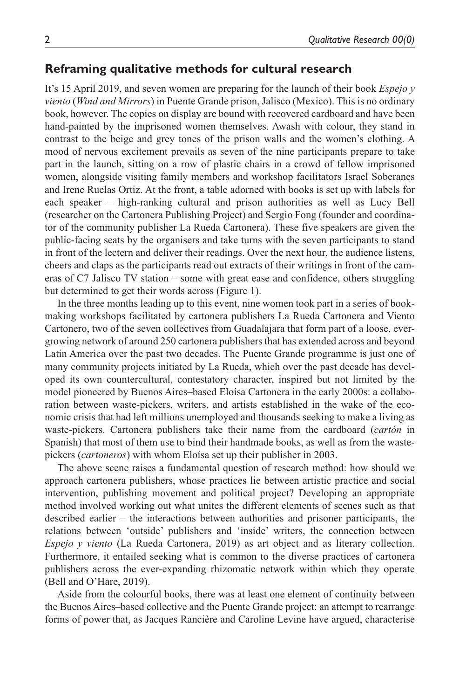#### **Reframing qualitative methods for cultural research**

It's 15 April 2019, and seven women are preparing for the launch of their book *Espejo y viento* (*Wind and Mirrors*) in Puente Grande prison, Jalisco (Mexico). This is no ordinary book, however. The copies on display are bound with recovered cardboard and have been hand-painted by the imprisoned women themselves. Awash with colour, they stand in contrast to the beige and grey tones of the prison walls and the women's clothing. A mood of nervous excitement prevails as seven of the nine participants prepare to take part in the launch, sitting on a row of plastic chairs in a crowd of fellow imprisoned women, alongside visiting family members and workshop facilitators Israel Soberanes and Irene Ruelas Ortiz. At the front, a table adorned with books is set up with labels for each speaker – high-ranking cultural and prison authorities as well as Lucy Bell (researcher on the Cartonera Publishing Project) and Sergio Fong (founder and coordinator of the community publisher La Rueda Cartonera). These five speakers are given the public-facing seats by the organisers and take turns with the seven participants to stand in front of the lectern and deliver their readings. Over the next hour, the audience listens, cheers and claps as the participants read out extracts of their writings in front of the cameras of C7 Jalisco TV station – some with great ease and confidence, others struggling but determined to get their words across (Figure 1).

In the three months leading up to this event, nine women took part in a series of bookmaking workshops facilitated by cartonera publishers La Rueda Cartonera and Viento Cartonero, two of the seven collectives from Guadalajara that form part of a loose, evergrowing network of around 250 cartonera publishers that has extended across and beyond Latin America over the past two decades. The Puente Grande programme is just one of many community projects initiated by La Rueda, which over the past decade has developed its own countercultural, contestatory character, inspired but not limited by the model pioneered by Buenos Aires–based Eloísa Cartonera in the early 2000s: a collaboration between waste-pickers, writers, and artists established in the wake of the economic crisis that had left millions unemployed and thousands seeking to make a living as waste-pickers. Cartonera publishers take their name from the cardboard (*cartón* in Spanish) that most of them use to bind their handmade books, as well as from the wastepickers (*cartoneros*) with whom Eloísa set up their publisher in 2003.

The above scene raises a fundamental question of research method: how should we approach cartonera publishers, whose practices lie between artistic practice and social intervention, publishing movement and political project? Developing an appropriate method involved working out what unites the different elements of scenes such as that described earlier – the interactions between authorities and prisoner participants, the relations between 'outside' publishers and 'inside' writers, the connection between *Espejo y viento* (La Rueda Cartonera, 2019) as art object and as literary collection. Furthermore, it entailed seeking what is common to the diverse practices of cartonera publishers across the ever-expanding rhizomatic network within which they operate (Bell and O'Hare, 2019).

Aside from the colourful books, there was at least one element of continuity between the Buenos Aires–based collective and the Puente Grande project: an attempt to rearrange forms of power that, as Jacques Rancière and Caroline Levine have argued, characterise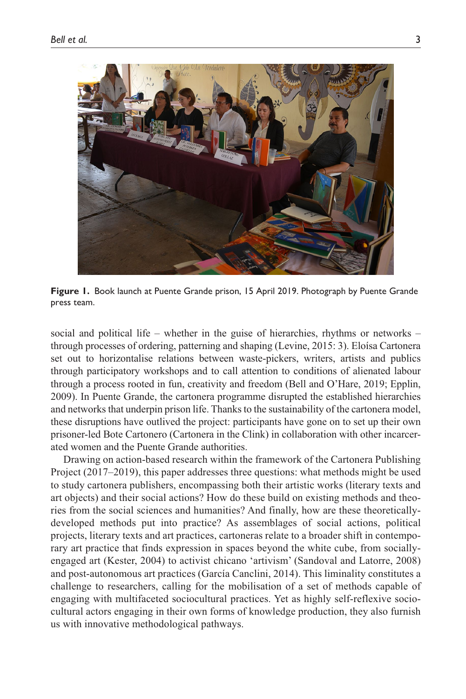

**Figure 1.** Book launch at Puente Grande prison, 15 April 2019. Photograph by Puente Grande press team.

social and political life – whether in the guise of hierarchies, rhythms or networks – through processes of ordering, patterning and shaping (Levine, 2015: 3). Eloísa Cartonera set out to horizontalise relations between waste-pickers, writers, artists and publics through participatory workshops and to call attention to conditions of alienated labour through a process rooted in fun, creativity and freedom (Bell and O'Hare, 2019; Epplin, 2009). In Puente Grande, the cartonera programme disrupted the established hierarchies and networks that underpin prison life. Thanks to the sustainability of the cartonera model, these disruptions have outlived the project: participants have gone on to set up their own prisoner-led Bote Cartonero (Cartonera in the Clink) in collaboration with other incarcerated women and the Puente Grande authorities.

Drawing on action-based research within the framework of the Cartonera Publishing Project (2017–2019), this paper addresses three questions: what methods might be used to study cartonera publishers, encompassing both their artistic works (literary texts and art objects) and their social actions? How do these build on existing methods and theories from the social sciences and humanities? And finally, how are these theoreticallydeveloped methods put into practice? As assemblages of social actions, political projects, literary texts and art practices, cartoneras relate to a broader shift in contemporary art practice that finds expression in spaces beyond the white cube, from sociallyengaged art (Kester, 2004) to activist chicano 'artivism' (Sandoval and Latorre, 2008) and post-autonomous art practices (García Canclini, 2014). This liminality constitutes a challenge to researchers, calling for the mobilisation of a set of methods capable of engaging with multifaceted sociocultural practices. Yet as highly self-reflexive sociocultural actors engaging in their own forms of knowledge production, they also furnish us with innovative methodological pathways.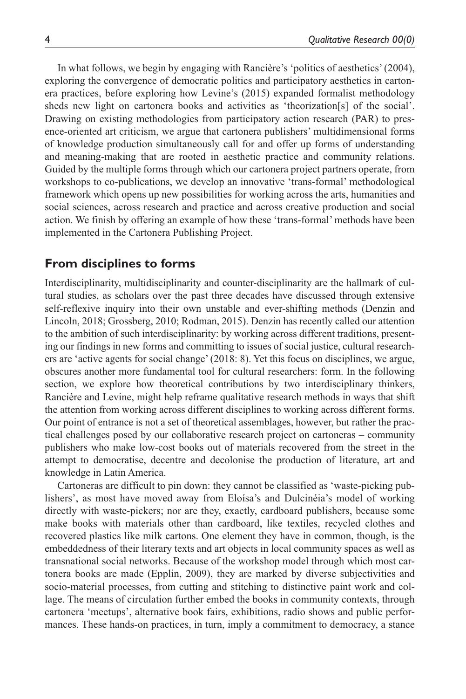In what follows, we begin by engaging with Rancière's 'politics of aesthetics' (2004), exploring the convergence of democratic politics and participatory aesthetics in cartonera practices, before exploring how Levine's (2015) expanded formalist methodology sheds new light on cartonera books and activities as 'theorization[s] of the social'. Drawing on existing methodologies from participatory action research (PAR) to presence-oriented art criticism, we argue that cartonera publishers' multidimensional forms of knowledge production simultaneously call for and offer up forms of understanding and meaning-making that are rooted in aesthetic practice and community relations. Guided by the multiple forms through which our cartonera project partners operate, from workshops to co-publications, we develop an innovative 'trans-formal' methodological framework which opens up new possibilities for working across the arts, humanities and social sciences, across research and practice and across creative production and social action. We finish by offering an example of how these 'trans-formal' methods have been implemented in the Cartonera Publishing Project.

### **From disciplines to forms**

Interdisciplinarity, multidisciplinarity and counter-disciplinarity are the hallmark of cultural studies, as scholars over the past three decades have discussed through extensive self-reflexive inquiry into their own unstable and ever-shifting methods (Denzin and Lincoln, 2018; Grossberg, 2010; Rodman, 2015). Denzin has recently called our attention to the ambition of such interdisciplinarity: by working across different traditions, presenting our findings in new forms and committing to issues of social justice, cultural researchers are 'active agents for social change' (2018: 8). Yet this focus on disciplines, we argue, obscures another more fundamental tool for cultural researchers: form. In the following section, we explore how theoretical contributions by two interdisciplinary thinkers, Rancière and Levine, might help reframe qualitative research methods in ways that shift the attention from working across different disciplines to working across different forms. Our point of entrance is not a set of theoretical assemblages, however, but rather the practical challenges posed by our collaborative research project on cartoneras – community publishers who make low-cost books out of materials recovered from the street in the attempt to democratise, decentre and decolonise the production of literature, art and knowledge in Latin America.

Cartoneras are difficult to pin down: they cannot be classified as 'waste-picking publishers', as most have moved away from Eloísa's and Dulcinéia's model of working directly with waste-pickers; nor are they, exactly, cardboard publishers, because some make books with materials other than cardboard, like textiles, recycled clothes and recovered plastics like milk cartons. One element they have in common, though, is the embeddedness of their literary texts and art objects in local community spaces as well as transnational social networks. Because of the workshop model through which most cartonera books are made (Epplin, 2009), they are marked by diverse subjectivities and socio-material processes, from cutting and stitching to distinctive paint work and collage. The means of circulation further embed the books in community contexts, through cartonera 'meetups', alternative book fairs, exhibitions, radio shows and public performances. These hands-on practices, in turn, imply a commitment to democracy, a stance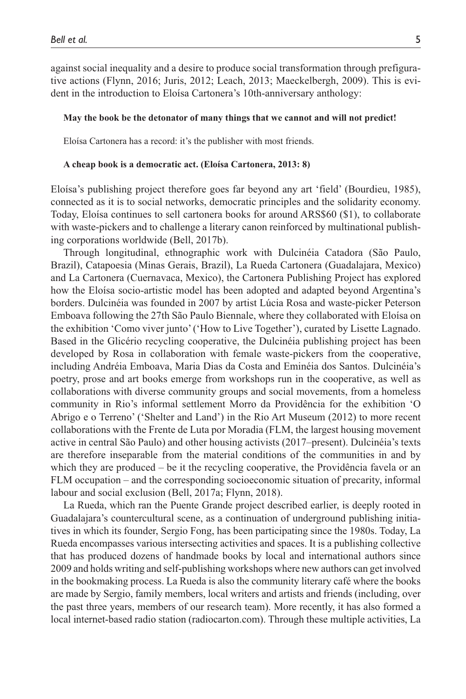against social inequality and a desire to produce social transformation through prefigurative actions (Flynn, 2016; Juris, 2012; Leach, 2013; Maeckelbergh, 2009). This is evident in the introduction to Eloísa Cartonera's 10th-anniversary anthology:

#### **May the book be the detonator of many things that we cannot and will not predict!**

Eloísa Cartonera has a record: it's the publisher with most friends.

#### **A cheap book is a democratic act. (Eloísa Cartonera, 2013: 8)**

Eloísa's publishing project therefore goes far beyond any art 'field' (Bourdieu, 1985), connected as it is to social networks, democratic principles and the solidarity economy. Today, Eloísa continues to sell cartonera books for around ARS\$60 (\$1), to collaborate with waste-pickers and to challenge a literary canon reinforced by multinational publishing corporations worldwide (Bell, 2017b).

Through longitudinal, ethnographic work with Dulcinéia Catadora (São Paulo, Brazil), Catapoesia (Minas Gerais, Brazil), La Rueda Cartonera (Guadalajara, Mexico) and La Cartonera (Cuernavaca, Mexico), the Cartonera Publishing Project has explored how the Eloísa socio-artistic model has been adopted and adapted beyond Argentina's borders. Dulcinéia was founded in 2007 by artist Lúcia Rosa and waste-picker Peterson Emboava following the 27th São Paulo Biennale, where they collaborated with Eloísa on the exhibition 'Como viver junto' ('How to Live Together'), curated by Lisette Lagnado. Based in the Glicério recycling cooperative, the Dulcinéia publishing project has been developed by Rosa in collaboration with female waste-pickers from the cooperative, including Andréia Emboava, Maria Dias da Costa and Eminéia dos Santos. Dulcinéia's poetry, prose and art books emerge from workshops run in the cooperative, as well as collaborations with diverse community groups and social movements, from a homeless community in Rio's informal settlement Morro da Providência for the exhibition 'O Abrigo e o Terreno' ('Shelter and Land') in the Rio Art Museum (2012) to more recent collaborations with the Frente de Luta por Moradia (FLM, the largest housing movement active in central São Paulo) and other housing activists (2017–present). Dulcinéia's texts are therefore inseparable from the material conditions of the communities in and by which they are produced – be it the recycling cooperative, the Providência favela or an FLM occupation – and the corresponding socioeconomic situation of precarity, informal labour and social exclusion (Bell, 2017a; Flynn, 2018).

La Rueda, which ran the Puente Grande project described earlier, is deeply rooted in Guadalajara's countercultural scene, as a continuation of underground publishing initiatives in which its founder, Sergio Fong, has been participating since the 1980s. Today, La Rueda encompasses various intersecting activities and spaces. It is a publishing collective that has produced dozens of handmade books by local and international authors since 2009 and holds writing and self-publishing workshops where new authors can get involved in the bookmaking process. La Rueda is also the community literary café where the books are made by Sergio, family members, local writers and artists and friends (including, over the past three years, members of our research team). More recently, it has also formed a local internet-based radio station (radiocarton.com). Through these multiple activities, La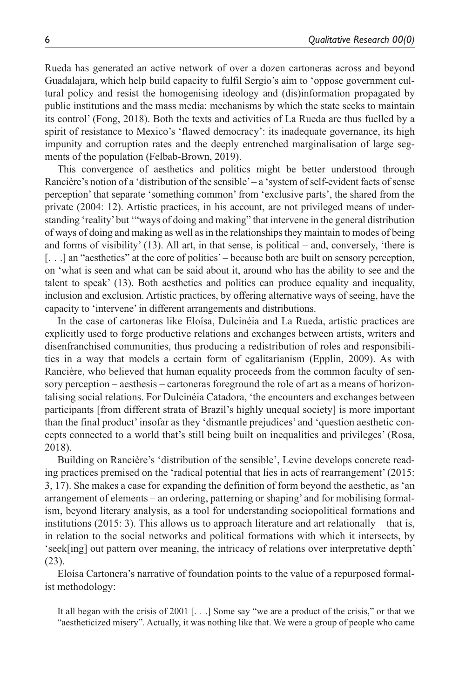Rueda has generated an active network of over a dozen cartoneras across and beyond Guadalajara, which help build capacity to fulfil Sergio's aim to 'oppose government cultural policy and resist the homogenising ideology and (dis)information propagated by public institutions and the mass media: mechanisms by which the state seeks to maintain its control' (Fong, 2018). Both the texts and activities of La Rueda are thus fuelled by a spirit of resistance to Mexico's 'flawed democracy': its inadequate governance, its high impunity and corruption rates and the deeply entrenched marginalisation of large segments of the population (Felbab-Brown, 2019).

This convergence of aesthetics and politics might be better understood through Rancière's notion of a 'distribution of the sensible' – a 'system of self-evident facts of sense perception' that separate 'something common' from 'exclusive parts', the shared from the private (2004: 12). Artistic practices, in his account, are not privileged means of understanding 'reality' but '"ways of doing and making" that intervene in the general distribution of ways of doing and making as well as in the relationships they maintain to modes of being and forms of visibility' (13). All art, in that sense, is political – and, conversely, 'there is [. . .] an "aesthetics" at the core of politics' – because both are built on sensory perception, on 'what is seen and what can be said about it, around who has the ability to see and the talent to speak' (13). Both aesthetics and politics can produce equality and inequality, inclusion and exclusion. Artistic practices, by offering alternative ways of seeing, have the capacity to 'intervene' in different arrangements and distributions.

In the case of cartoneras like Eloísa, Dulcinéia and La Rueda, artistic practices are explicitly used to forge productive relations and exchanges between artists, writers and disenfranchised communities, thus producing a redistribution of roles and responsibilities in a way that models a certain form of egalitarianism (Epplin, 2009). As with Rancière, who believed that human equality proceeds from the common faculty of sensory perception – aesthesis – cartoneras foreground the role of art as a means of horizontalising social relations. For Dulcinéia Catadora, 'the encounters and exchanges between participants [from different strata of Brazil's highly unequal society] is more important than the final product' insofar as they 'dismantle prejudices' and 'question aesthetic concepts connected to a world that's still being built on inequalities and privileges' (Rosa, 2018).

Building on Rancière's 'distribution of the sensible', Levine develops concrete reading practices premised on the 'radical potential that lies in acts of rearrangement' (2015: 3, 17). She makes a case for expanding the definition of form beyond the aesthetic, as 'an arrangement of elements – an ordering, patterning or shaping' and for mobilising formalism, beyond literary analysis, as a tool for understanding sociopolitical formations and institutions (2015: 3). This allows us to approach literature and art relationally – that is, in relation to the social networks and political formations with which it intersects, by 'seek[ing] out pattern over meaning, the intricacy of relations over interpretative depth' (23).

Eloísa Cartonera's narrative of foundation points to the value of a repurposed formalist methodology:

It all began with the crisis of 2001 [. . .] Some say "we are a product of the crisis," or that we "aestheticized misery". Actually, it was nothing like that. We were a group of people who came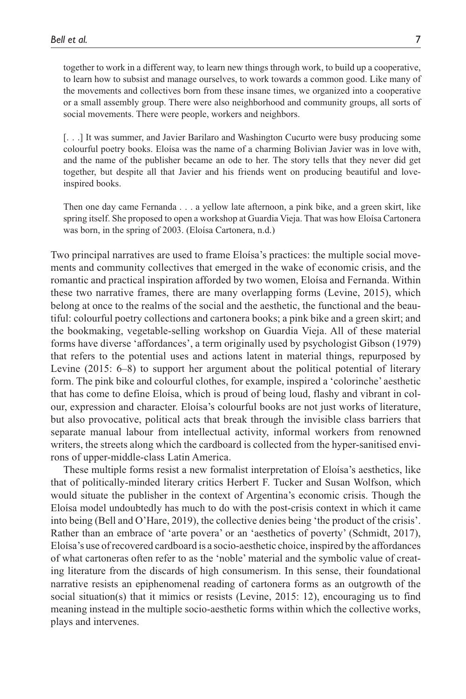together to work in a different way, to learn new things through work, to build up a cooperative, to learn how to subsist and manage ourselves, to work towards a common good. Like many of the movements and collectives born from these insane times, we organized into a cooperative or a small assembly group. There were also neighborhood and community groups, all sorts of social movements. There were people, workers and neighbors.

[. . .] It was summer, and Javier Barilaro and Washington Cucurto were busy producing some colourful poetry books. Eloísa was the name of a charming Bolivian Javier was in love with, and the name of the publisher became an ode to her. The story tells that they never did get together, but despite all that Javier and his friends went on producing beautiful and loveinspired books.

Then one day came Fernanda . . . a yellow late afternoon, a pink bike, and a green skirt, like spring itself. She proposed to open a workshop at Guardia Vieja. That was how Eloísa Cartonera was born, in the spring of 2003. (Eloísa Cartonera, n.d.)

Two principal narratives are used to frame Eloísa's practices: the multiple social movements and community collectives that emerged in the wake of economic crisis, and the romantic and practical inspiration afforded by two women, Eloísa and Fernanda. Within these two narrative frames, there are many overlapping forms (Levine, 2015), which belong at once to the realms of the social and the aesthetic, the functional and the beautiful: colourful poetry collections and cartonera books; a pink bike and a green skirt; and the bookmaking, vegetable-selling workshop on Guardia Vieja. All of these material forms have diverse 'affordances', a term originally used by psychologist Gibson (1979) that refers to the potential uses and actions latent in material things, repurposed by Levine (2015: 6–8) to support her argument about the political potential of literary form. The pink bike and colourful clothes, for example, inspired a 'colorinche' aesthetic that has come to define Eloísa, which is proud of being loud, flashy and vibrant in colour, expression and character. Eloísa's colourful books are not just works of literature, but also provocative, political acts that break through the invisible class barriers that separate manual labour from intellectual activity, informal workers from renowned writers, the streets along which the cardboard is collected from the hyper-sanitised environs of upper-middle-class Latin America.

These multiple forms resist a new formalist interpretation of Eloísa's aesthetics, like that of politically-minded literary critics Herbert F. Tucker and Susan Wolfson, which would situate the publisher in the context of Argentina's economic crisis. Though the Eloísa model undoubtedly has much to do with the post-crisis context in which it came into being (Bell and O'Hare, 2019), the collective denies being 'the product of the crisis'. Rather than an embrace of 'arte povera' or an 'aesthetics of poverty' (Schmidt, 2017), Eloísa's use of recovered cardboard is a socio-aesthetic choice, inspired by the affordances of what cartoneras often refer to as the 'noble' material and the symbolic value of creating literature from the discards of high consumerism. In this sense, their foundational narrative resists an epiphenomenal reading of cartonera forms as an outgrowth of the social situation(s) that it mimics or resists (Levine, 2015: 12), encouraging us to find meaning instead in the multiple socio-aesthetic forms within which the collective works, plays and intervenes.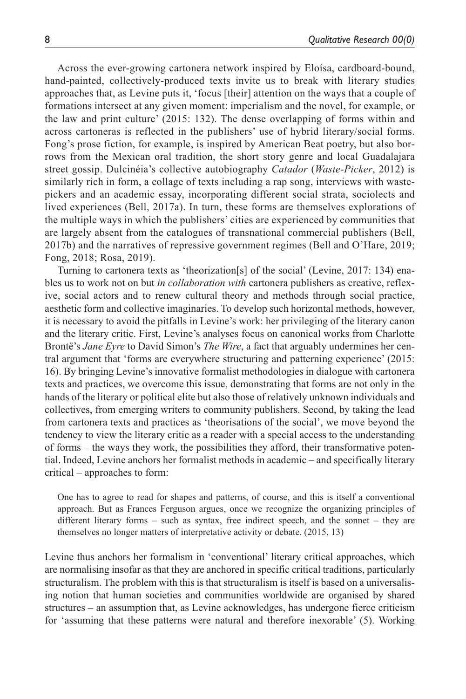Across the ever-growing cartonera network inspired by Eloísa, cardboard-bound, hand-painted, collectively-produced texts invite us to break with literary studies approaches that, as Levine puts it, 'focus [their] attention on the ways that a couple of formations intersect at any given moment: imperialism and the novel, for example, or the law and print culture' (2015: 132). The dense overlapping of forms within and across cartoneras is reflected in the publishers' use of hybrid literary/social forms. Fong's prose fiction, for example, is inspired by American Beat poetry, but also borrows from the Mexican oral tradition, the short story genre and local Guadalajara street gossip. Dulcinéia's collective autobiography *Catador* (*Waste-Picker*, 2012) is similarly rich in form, a collage of texts including a rap song, interviews with wastepickers and an academic essay, incorporating different social strata, sociolects and lived experiences (Bell, 2017a). In turn, these forms are themselves explorations of the multiple ways in which the publishers' cities are experienced by communities that are largely absent from the catalogues of transnational commercial publishers (Bell, 2017b) and the narratives of repressive government regimes (Bell and O'Hare, 2019; Fong, 2018; Rosa, 2019).

Turning to cartonera texts as 'theorization[s] of the social' (Levine, 2017: 134) enables us to work not on but *in collaboration with* cartonera publishers as creative, reflexive, social actors and to renew cultural theory and methods through social practice, aesthetic form and collective imaginaries. To develop such horizontal methods, however, it is necessary to avoid the pitfalls in Levine's work: her privileging of the literary canon and the literary critic. First, Levine's analyses focus on canonical works from Charlotte Brontë's *Jane Eyre* to David Simon's *The Wire*, a fact that arguably undermines her central argument that 'forms are everywhere structuring and patterning experience' (2015: 16). By bringing Levine's innovative formalist methodologies in dialogue with cartonera texts and practices, we overcome this issue, demonstrating that forms are not only in the hands of the literary or political elite but also those of relatively unknown individuals and collectives, from emerging writers to community publishers. Second, by taking the lead from cartonera texts and practices as 'theorisations of the social', we move beyond the tendency to view the literary critic as a reader with a special access to the understanding of forms – the ways they work, the possibilities they afford, their transformative potential. Indeed, Levine anchors her formalist methods in academic – and specifically literary critical – approaches to form:

One has to agree to read for shapes and patterns, of course, and this is itself a conventional approach. But as Frances Ferguson argues, once we recognize the organizing principles of different literary forms – such as syntax, free indirect speech, and the sonnet – they are themselves no longer matters of interpretative activity or debate. (2015, 13)

Levine thus anchors her formalism in 'conventional' literary critical approaches, which are normalising insofar as that they are anchored in specific critical traditions, particularly structuralism. The problem with this is that structuralism is itself is based on a universalising notion that human societies and communities worldwide are organised by shared structures – an assumption that, as Levine acknowledges, has undergone fierce criticism for 'assuming that these patterns were natural and therefore inexorable' (5). Working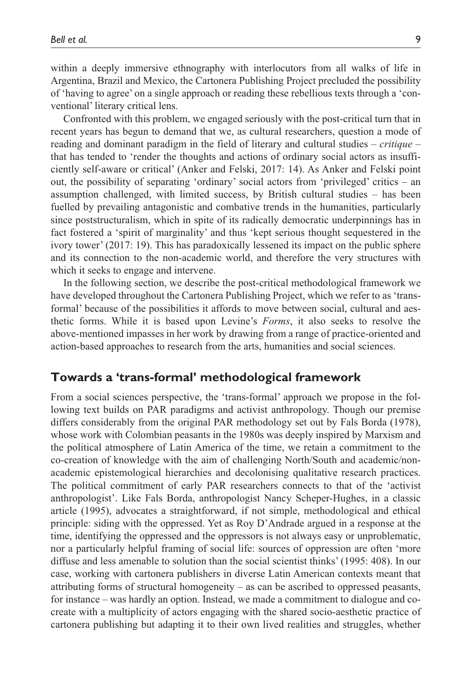within a deeply immersive ethnography with interlocutors from all walks of life in Argentina, Brazil and Mexico, the Cartonera Publishing Project precluded the possibility of 'having to agree' on a single approach or reading these rebellious texts through a 'conventional' literary critical lens.

Confronted with this problem, we engaged seriously with the post-critical turn that in recent years has begun to demand that we, as cultural researchers, question a mode of reading and dominant paradigm in the field of literary and cultural studies – *critique* – that has tended to 'render the thoughts and actions of ordinary social actors as insufficiently self-aware or critical' (Anker and Felski, 2017: 14). As Anker and Felski point out, the possibility of separating 'ordinary' social actors from 'privileged' critics – an assumption challenged, with limited success, by British cultural studies – has been fuelled by prevailing antagonistic and combative trends in the humanities, particularly since poststructuralism, which in spite of its radically democratic underpinnings has in fact fostered a 'spirit of marginality' and thus 'kept serious thought sequestered in the ivory tower' (2017: 19). This has paradoxically lessened its impact on the public sphere and its connection to the non-academic world, and therefore the very structures with which it seeks to engage and intervene.

In the following section, we describe the post-critical methodological framework we have developed throughout the Cartonera Publishing Project, which we refer to as 'transformal' because of the possibilities it affords to move between social, cultural and aesthetic forms. While it is based upon Levine's *Forms*, it also seeks to resolve the above-mentioned impasses in her work by drawing from a range of practice-oriented and action-based approaches to research from the arts, humanities and social sciences.

#### **Towards a 'trans-formal' methodological framework**

From a social sciences perspective, the 'trans-formal' approach we propose in the following text builds on PAR paradigms and activist anthropology. Though our premise differs considerably from the original PAR methodology set out by Fals Borda (1978), whose work with Colombian peasants in the 1980s was deeply inspired by Marxism and the political atmosphere of Latin America of the time, we retain a commitment to the co-creation of knowledge with the aim of challenging North/South and academic/nonacademic epistemological hierarchies and decolonising qualitative research practices. The political commitment of early PAR researchers connects to that of the 'activist anthropologist'. Like Fals Borda, anthropologist Nancy Scheper-Hughes, in a classic article (1995), advocates a straightforward, if not simple, methodological and ethical principle: siding with the oppressed. Yet as Roy D'Andrade argued in a response at the time, identifying the oppressed and the oppressors is not always easy or unproblematic, nor a particularly helpful framing of social life: sources of oppression are often 'more diffuse and less amenable to solution than the social scientist thinks' (1995: 408). In our case, working with cartonera publishers in diverse Latin American contexts meant that attributing forms of structural homogeneity – as can be ascribed to oppressed peasants, for instance – was hardly an option. Instead, we made a commitment to dialogue and cocreate with a multiplicity of actors engaging with the shared socio-aesthetic practice of cartonera publishing but adapting it to their own lived realities and struggles, whether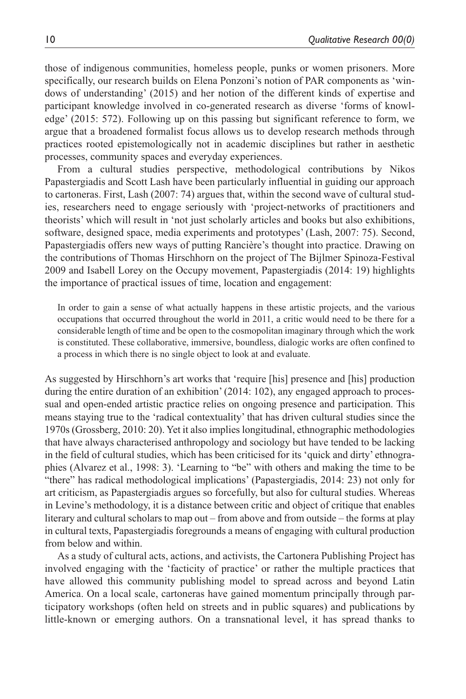those of indigenous communities, homeless people, punks or women prisoners. More specifically, our research builds on Elena Ponzoni's notion of PAR components as 'windows of understanding' (2015) and her notion of the different kinds of expertise and participant knowledge involved in co-generated research as diverse 'forms of knowledge' (2015: 572). Following up on this passing but significant reference to form, we argue that a broadened formalist focus allows us to develop research methods through practices rooted epistemologically not in academic disciplines but rather in aesthetic processes, community spaces and everyday experiences.

From a cultural studies perspective, methodological contributions by Nikos Papastergiadis and Scott Lash have been particularly influential in guiding our approach to cartoneras. First, Lash (2007: 74) argues that, within the second wave of cultural studies, researchers need to engage seriously with 'project-networks of practitioners and theorists' which will result in 'not just scholarly articles and books but also exhibitions, software, designed space, media experiments and prototypes' (Lash, 2007: 75). Second, Papastergiadis offers new ways of putting Rancière's thought into practice. Drawing on the contributions of Thomas Hirschhorn on the project of The Bijlmer Spinoza-Festival 2009 and Isabell Lorey on the Occupy movement, Papastergiadis (2014: 19) highlights the importance of practical issues of time, location and engagement:

In order to gain a sense of what actually happens in these artistic projects, and the various occupations that occurred throughout the world in 2011, a critic would need to be there for a considerable length of time and be open to the cosmopolitan imaginary through which the work is constituted. These collaborative, immersive, boundless, dialogic works are often confined to a process in which there is no single object to look at and evaluate.

As suggested by Hirschhorn's art works that 'require [his] presence and [his] production during the entire duration of an exhibition' (2014: 102), any engaged approach to processual and open-ended artistic practice relies on ongoing presence and participation. This means staying true to the 'radical contextuality' that has driven cultural studies since the 1970s (Grossberg, 2010: 20). Yet it also implies longitudinal, ethnographic methodologies that have always characterised anthropology and sociology but have tended to be lacking in the field of cultural studies, which has been criticised for its 'quick and dirty' ethnographies (Alvarez et al., 1998: 3). 'Learning to "be" with others and making the time to be "there" has radical methodological implications' (Papastergiadis, 2014: 23) not only for art criticism, as Papastergiadis argues so forcefully, but also for cultural studies. Whereas in Levine's methodology, it is a distance between critic and object of critique that enables literary and cultural scholars to map out – from above and from outside – the forms at play in cultural texts, Papastergiadis foregrounds a means of engaging with cultural production from below and within.

As a study of cultural acts, actions, and activists, the Cartonera Publishing Project has involved engaging with the 'facticity of practice' or rather the multiple practices that have allowed this community publishing model to spread across and beyond Latin America. On a local scale, cartoneras have gained momentum principally through participatory workshops (often held on streets and in public squares) and publications by little-known or emerging authors. On a transnational level, it has spread thanks to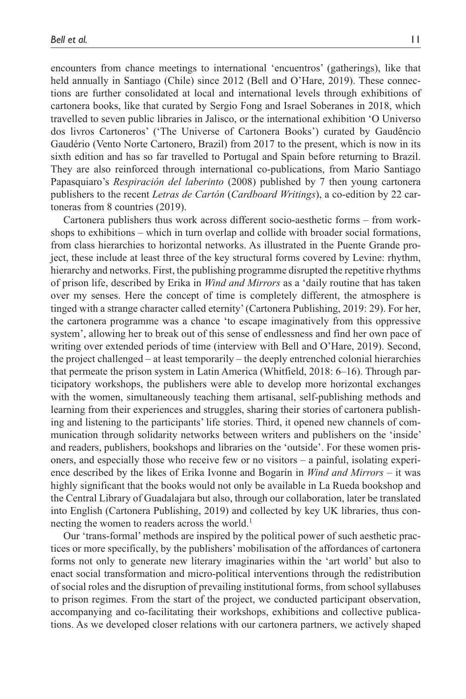encounters from chance meetings to international 'encuentros' (gatherings), like that held annually in Santiago (Chile) since 2012 (Bell and O'Hare, 2019). These connections are further consolidated at local and international levels through exhibitions of cartonera books, like that curated by Sergio Fong and Israel Soberanes in 2018, which travelled to seven public libraries in Jalisco, or the international exhibition 'O Universo dos livros Cartoneros' ('The Universe of Cartonera Books') curated by Gaudêncio Gaudério (Vento Norte Cartonero, Brazil) from 2017 to the present, which is now in its sixth edition and has so far travelled to Portugal and Spain before returning to Brazil. They are also reinforced through international co-publications, from Mario Santiago Papasquiaro's *Respiración del laberinto* (2008) published by 7 then young cartonera publishers to the recent *Letras de Cartón* (*Cardboard Writings*), a co-edition by 22 cartoneras from 8 countries (2019).

Cartonera publishers thus work across different socio-aesthetic forms – from workshops to exhibitions – which in turn overlap and collide with broader social formations, from class hierarchies to horizontal networks. As illustrated in the Puente Grande project, these include at least three of the key structural forms covered by Levine: rhythm, hierarchy and networks. First, the publishing programme disrupted the repetitive rhythms of prison life, described by Erika in *Wind and Mirrors* as a 'daily routine that has taken over my senses. Here the concept of time is completely different, the atmosphere is tinged with a strange character called eternity' (Cartonera Publishing, 2019: 29). For her, the cartonera programme was a chance 'to escape imaginatively from this oppressive system', allowing her to break out of this sense of endlessness and find her own pace of writing over extended periods of time (interview with Bell and O'Hare, 2019). Second, the project challenged – at least temporarily – the deeply entrenched colonial hierarchies that permeate the prison system in Latin America (Whitfield, 2018: 6–16). Through participatory workshops, the publishers were able to develop more horizontal exchanges with the women, simultaneously teaching them artisanal, self-publishing methods and learning from their experiences and struggles, sharing their stories of cartonera publishing and listening to the participants' life stories. Third, it opened new channels of communication through solidarity networks between writers and publishers on the 'inside' and readers, publishers, bookshops and libraries on the 'outside'. For these women prisoners, and especially those who receive few or no visitors – a painful, isolating experience described by the likes of Erika Ivonne and Bogarín in *Wind and Mirrors* – it was highly significant that the books would not only be available in La Rueda bookshop and the Central Library of Guadalajara but also, through our collaboration, later be translated into English (Cartonera Publishing, 2019) and collected by key UK libraries, thus connecting the women to readers across the world.<sup>1</sup>

Our 'trans-formal' methods are inspired by the political power of such aesthetic practices or more specifically, by the publishers' mobilisation of the affordances of cartonera forms not only to generate new literary imaginaries within the 'art world' but also to enact social transformation and micro-political interventions through the redistribution of social roles and the disruption of prevailing institutional forms, from school syllabuses to prison regimes. From the start of the project, we conducted participant observation, accompanying and co-facilitating their workshops, exhibitions and collective publications. As we developed closer relations with our cartonera partners, we actively shaped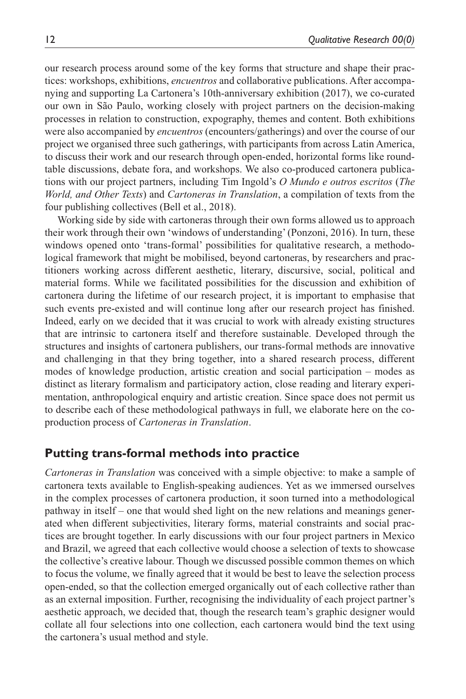our research process around some of the key forms that structure and shape their practices: workshops, exhibitions, *encuentros* and collaborative publications. After accompanying and supporting La Cartonera's 10th-anniversary exhibition (2017), we co-curated our own in São Paulo, working closely with project partners on the decision-making processes in relation to construction, expography, themes and content. Both exhibitions were also accompanied by *encuentros* (encounters/gatherings) and over the course of our project we organised three such gatherings, with participants from across Latin America, to discuss their work and our research through open-ended, horizontal forms like roundtable discussions, debate fora, and workshops. We also co-produced cartonera publications with our project partners, including Tim Ingold's *O Mundo e outros escritos* (*The World, and Other Texts*) and *Cartoneras in Translation*, a compilation of texts from the four publishing collectives (Bell et al., 2018).

Working side by side with cartoneras through their own forms allowed us to approach their work through their own 'windows of understanding' (Ponzoni, 2016). In turn, these windows opened onto 'trans-formal' possibilities for qualitative research, a methodological framework that might be mobilised, beyond cartoneras, by researchers and practitioners working across different aesthetic, literary, discursive, social, political and material forms. While we facilitated possibilities for the discussion and exhibition of cartonera during the lifetime of our research project, it is important to emphasise that such events pre-existed and will continue long after our research project has finished. Indeed, early on we decided that it was crucial to work with already existing structures that are intrinsic to cartonera itself and therefore sustainable. Developed through the structures and insights of cartonera publishers, our trans-formal methods are innovative and challenging in that they bring together, into a shared research process, different modes of knowledge production, artistic creation and social participation – modes as distinct as literary formalism and participatory action, close reading and literary experimentation, anthropological enquiry and artistic creation. Since space does not permit us to describe each of these methodological pathways in full, we elaborate here on the coproduction process of *Cartoneras in Translation*.

#### **Putting trans-formal methods into practice**

*Cartoneras in Translation* was conceived with a simple objective: to make a sample of cartonera texts available to English-speaking audiences. Yet as we immersed ourselves in the complex processes of cartonera production, it soon turned into a methodological pathway in itself – one that would shed light on the new relations and meanings generated when different subjectivities, literary forms, material constraints and social practices are brought together. In early discussions with our four project partners in Mexico and Brazil, we agreed that each collective would choose a selection of texts to showcase the collective's creative labour. Though we discussed possible common themes on which to focus the volume, we finally agreed that it would be best to leave the selection process open-ended, so that the collection emerged organically out of each collective rather than as an external imposition. Further, recognising the individuality of each project partner's aesthetic approach, we decided that, though the research team's graphic designer would collate all four selections into one collection, each cartonera would bind the text using the cartonera's usual method and style.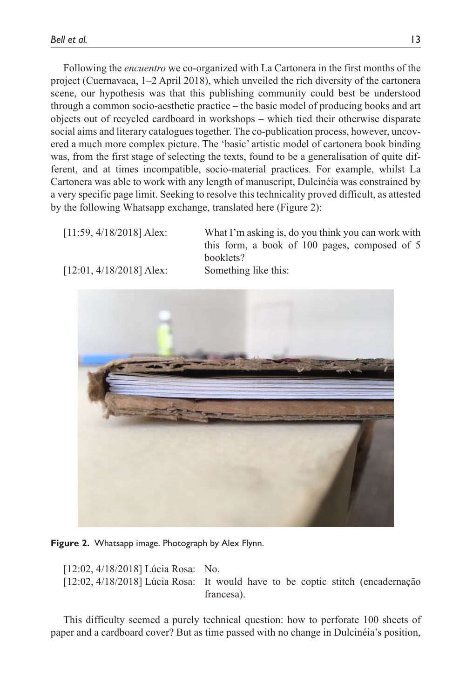Following the *encuentro* we co-organized with La Cartonera in the first months of the project (Cuernavaca, 1–2 April 2018), which unveiled the rich diversity of the cartonera scene, our hypothesis was that this publishing community could best be understood through a common socio-aesthetic practice – the basic model of producing books and art objects out of recycled cardboard in workshops – which tied their otherwise disparate social aims and literary catalogues together. The co-publication process, however, uncovered a much more complex picture. The 'basic' artistic model of cartonera book binding was, from the first stage of selecting the texts, found to be a generalisation of quite different, and at times incompatible, socio-material practices. For example, whilst La Cartonera was able to work with any length of manuscript, Dulcinéia was constrained by a very specific page limit. Seeking to resolve this technicality proved difficult, as attested by the following Whatsapp exchange, translated here (Figure 2):

[11:59, 4/18/2018] Alex: What I'm asking is, do you think you can work with this form, a book of 100 pages, composed of 5 booklets?

[12:01, 4/18/2018] Alex: Something like this:



**Figure 2.** Whatsapp image. Photograph by Alex Flynn.

[12:02, 4/18/2018] Lúcia Rosa: No. [12:02, 4/18/2018] Lúcia Rosa: It would have to be coptic stitch (encadernação francesa).

This difficulty seemed a purely technical question: how to perforate 100 sheets of paper and a cardboard cover? But as time passed with no change in Dulcinéia's position,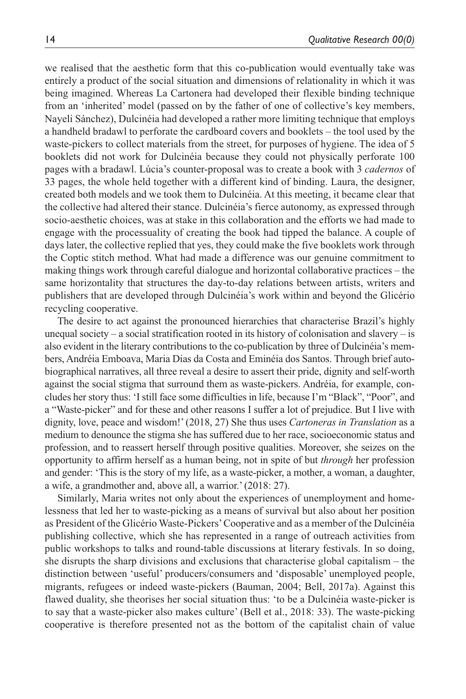we realised that the aesthetic form that this co-publication would eventually take was entirely a product of the social situation and dimensions of relationality in which it was being imagined. Whereas La Cartonera had developed their flexible binding technique from an 'inherited' model (passed on by the father of one of collective's key members, Nayeli Sánchez), Dulcinéia had developed a rather more limiting technique that employs a handheld bradawl to perforate the cardboard covers and booklets – the tool used by the waste-pickers to collect materials from the street, for purposes of hygiene. The idea of 5 booklets did not work for Dulcinéia because they could not physically perforate 100 pages with a bradawl. Lúcia's counter-proposal was to create a book with 3 *cadernos* of 33 pages, the whole held together with a different kind of binding. Laura, the designer, created both models and we took them to Dulcinéia. At this meeting, it became clear that the collective had altered their stance. Dulcinéia's fierce autonomy, as expressed through socio-aesthetic choices, was at stake in this collaboration and the efforts we had made to engage with the processuality of creating the book had tipped the balance. A couple of days later, the collective replied that yes, they could make the five booklets work through the Coptic stitch method. What had made a difference was our genuine commitment to making things work through careful dialogue and horizontal collaborative practices – the same horizontality that structures the day-to-day relations between artists, writers and publishers that are developed through Dulcinéia's work within and beyond the Glicério recycling cooperative.

The desire to act against the pronounced hierarchies that characterise Brazil's highly unequal society – a social stratification rooted in its history of colonisation and slavery – is also evident in the literary contributions to the co-publication by three of Dulcinéia's members, Andréia Emboava, Maria Dias da Costa and Eminéia dos Santos. Through brief autobiographical narratives, all three reveal a desire to assert their pride, dignity and self-worth against the social stigma that surround them as waste-pickers. Andréia, for example, concludes her story thus: 'I still face some difficulties in life, because I'm "Black", "Poor", and a "Waste-picker" and for these and other reasons I suffer a lot of prejudice. But I live with dignity, love, peace and wisdom!' (2018, 27) She thus uses *Cartoneras in Translation* as a medium to denounce the stigma she has suffered due to her race, socioeconomic status and profession, and to reassert herself through positive qualities. Moreover, she seizes on the opportunity to affirm herself as a human being, not in spite of but *through* her profession and gender: 'This is the story of my life, as a waste-picker, a mother, a woman, a daughter, a wife, a grandmother and, above all, a warrior.' (2018: 27).

Similarly, Maria writes not only about the experiences of unemployment and homelessness that led her to waste-picking as a means of survival but also about her position as President of the Glicério Waste-Pickers' Cooperative and as a member of the Dulcinéia publishing collective, which she has represented in a range of outreach activities from public workshops to talks and round-table discussions at literary festivals. In so doing, she disrupts the sharp divisions and exclusions that characterise global capitalism – the distinction between 'useful' producers/consumers and 'disposable' unemployed people, migrants, refugees or indeed waste-pickers (Bauman, 2004; Bell, 2017a). Against this flawed duality, she theorises her social situation thus: 'to be a Dulcinéia waste-picker is to say that a waste-picker also makes culture' (Bell et al., 2018: 33). The waste-picking cooperative is therefore presented not as the bottom of the capitalist chain of value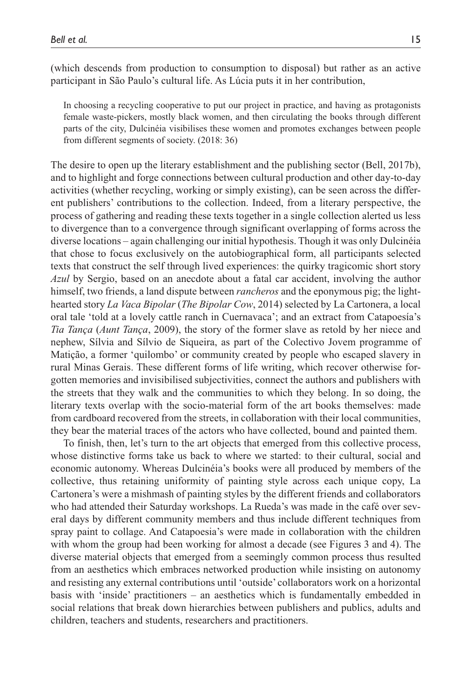(which descends from production to consumption to disposal) but rather as an active participant in São Paulo's cultural life. As Lúcia puts it in her contribution,

In choosing a recycling cooperative to put our project in practice, and having as protagonists female waste-pickers, mostly black women, and then circulating the books through different parts of the city, Dulcinéia visibilises these women and promotes exchanges between people from different segments of society. (2018: 36)

The desire to open up the literary establishment and the publishing sector (Bell, 2017b), and to highlight and forge connections between cultural production and other day-to-day activities (whether recycling, working or simply existing), can be seen across the different publishers' contributions to the collection. Indeed, from a literary perspective, the process of gathering and reading these texts together in a single collection alerted us less to divergence than to a convergence through significant overlapping of forms across the diverse locations – again challenging our initial hypothesis. Though it was only Dulcinéia that chose to focus exclusively on the autobiographical form, all participants selected texts that construct the self through lived experiences: the quirky tragicomic short story *Azul* by Sergio, based on an anecdote about a fatal car accident, involving the author himself, two friends, a land dispute between *rancheros* and the eponymous pig; the lighthearted story *La Vaca Bipolar* (*The Bipolar Cow*, 2014) selected by La Cartonera, a local oral tale 'told at a lovely cattle ranch in Cuernavaca'; and an extract from Catapoesía's *Tia Tança* (*Aunt Tança*, 2009), the story of the former slave as retold by her niece and nephew, Sílvia and Sílvio de Siqueira, as part of the Colectivo Jovem programme of Matição, a former 'quilombo' or community created by people who escaped slavery in rural Minas Gerais. These different forms of life writing, which recover otherwise forgotten memories and invisibilised subjectivities, connect the authors and publishers with the streets that they walk and the communities to which they belong. In so doing, the literary texts overlap with the socio-material form of the art books themselves: made from cardboard recovered from the streets, in collaboration with their local communities, they bear the material traces of the actors who have collected, bound and painted them.

To finish, then, let's turn to the art objects that emerged from this collective process, whose distinctive forms take us back to where we started: to their cultural, social and economic autonomy. Whereas Dulcinéia's books were all produced by members of the collective, thus retaining uniformity of painting style across each unique copy, La Cartonera's were a mishmash of painting styles by the different friends and collaborators who had attended their Saturday workshops. La Rueda's was made in the café over several days by different community members and thus include different techniques from spray paint to collage. And Catapoesia's were made in collaboration with the children with whom the group had been working for almost a decade (see Figures 3 and 4). The diverse material objects that emerged from a seemingly common process thus resulted from an aesthetics which embraces networked production while insisting on autonomy and resisting any external contributions until 'outside' collaborators work on a horizontal basis with 'inside' practitioners – an aesthetics which is fundamentally embedded in social relations that break down hierarchies between publishers and publics, adults and children, teachers and students, researchers and practitioners.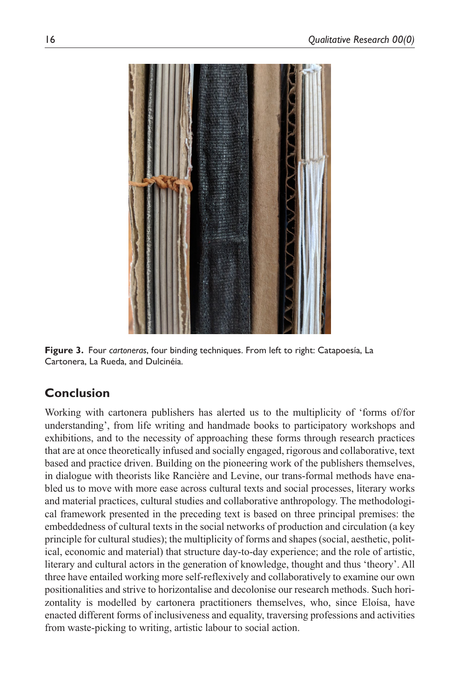

**Figure 3.** Four *cartoneras*, four binding techniques. From left to right: Catapoesía, La Cartonera, La Rueda, and Dulcinéia.

## **Conclusion**

Working with cartonera publishers has alerted us to the multiplicity of 'forms of/for understanding', from life writing and handmade books to participatory workshops and exhibitions, and to the necessity of approaching these forms through research practices that are at once theoretically infused and socially engaged, rigorous and collaborative, text based and practice driven. Building on the pioneering work of the publishers themselves, in dialogue with theorists like Rancière and Levine, our trans-formal methods have enabled us to move with more ease across cultural texts and social processes, literary works and material practices, cultural studies and collaborative anthropology. The methodological framework presented in the preceding text is based on three principal premises: the embeddedness of cultural texts in the social networks of production and circulation (a key principle for cultural studies); the multiplicity of forms and shapes (social, aesthetic, political, economic and material) that structure day-to-day experience; and the role of artistic, literary and cultural actors in the generation of knowledge, thought and thus 'theory'. All three have entailed working more self-reflexively and collaboratively to examine our own positionalities and strive to horizontalise and decolonise our research methods. Such horizontality is modelled by cartonera practitioners themselves, who, since Eloísa, have enacted different forms of inclusiveness and equality, traversing professions and activities from waste-picking to writing, artistic labour to social action.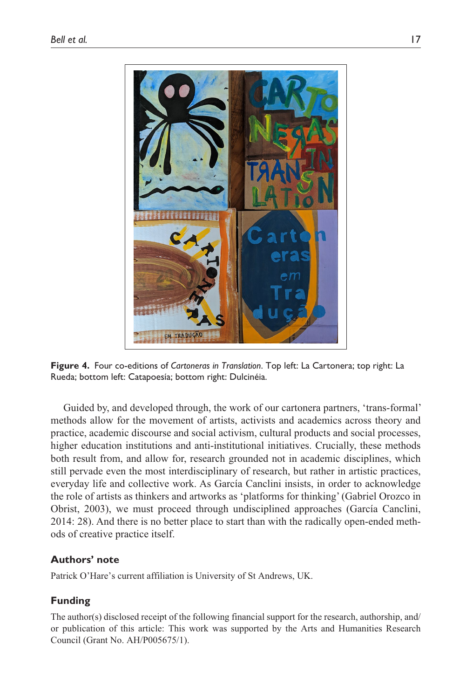

**Figure 4.** Four co-editions of *Cartoneras in Translation*. Top left: La Cartonera; top right: La Rueda; bottom left: Catapoesía; bottom right: Dulcinéia.

Guided by, and developed through, the work of our cartonera partners, 'trans-formal' methods allow for the movement of artists, activists and academics across theory and practice, academic discourse and social activism, cultural products and social processes, higher education institutions and anti-institutional initiatives. Crucially, these methods both result from, and allow for, research grounded not in academic disciplines, which still pervade even the most interdisciplinary of research, but rather in artistic practices, everyday life and collective work. As García Canclini insists, in order to acknowledge the role of artists as thinkers and artworks as 'platforms for thinking' (Gabriel Orozco in Obrist, 2003), we must proceed through undisciplined approaches (García Canclini, 2014: 28). And there is no better place to start than with the radically open-ended methods of creative practice itself.

#### **Authors' note**

Patrick O'Hare's current affiliation is University of St Andrews, UK.

#### **Funding**

The author(s) disclosed receipt of the following financial support for the research, authorship, and/ or publication of this article: This work was supported by the Arts and Humanities Research Council (Grant No. AH/P005675/1).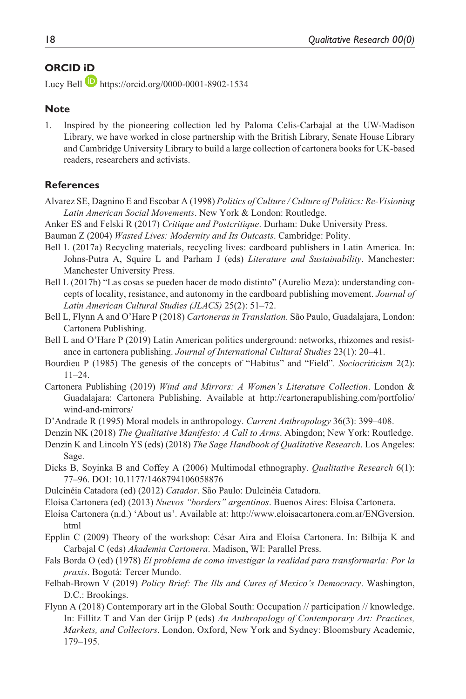## **ORCID iD**

Lucy Bell <https://orcid.org/0000-0001-8902-1534>

#### **Note**

1. Inspired by the pioneering collection led by Paloma Celis-Carbajal at the UW-Madison Library, we have worked in close partnership with the British Library, Senate House Library and Cambridge University Library to build a large collection of cartonera books for UK-based readers, researchers and activists.

### **References**

- Alvarez SE, Dagnino E and Escobar A (1998) *Politics of Culture / Culture of Politics: Re-Visioning Latin American Social Movements*. New York & London: Routledge.
- Anker ES and Felski R (2017) *Critique and Postcritique*. Durham: Duke University Press.
- Bauman Z (2004) *Wasted Lives: Modernity and Its Outcasts*. Cambridge: Polity.
- Bell L (2017a) Recycling materials, recycling lives: cardboard publishers in Latin America. In: Johns-Putra A, Squire L and Parham J (eds) *Literature and Sustainability*. Manchester: Manchester University Press.
- Bell L (2017b) "Las cosas se pueden hacer de modo distinto" (Aurelio Meza): understanding concepts of locality, resistance, and autonomy in the cardboard publishing movement. *Journal of Latin American Cultural Studies (JLACS)* 25(2): 51–72.
- Bell L, Flynn A and O'Hare P (2018) *Cartoneras in Translation*. São Paulo, Guadalajara, London: Cartonera Publishing.
- Bell L and O'Hare P (2019) Latin American politics underground: networks, rhizomes and resistance in cartonera publishing. *Journal of International Cultural Studies* 23(1): 20–41.
- Bourdieu P (1985) The genesis of the concepts of "Habitus" and "Field". *Sociocriticism* 2(2): 11–24.
- Cartonera Publishing (2019) *Wind and Mirrors: A Women's Literature Collection*. London & Guadalajara: Cartonera Publishing. Available at [http://cartonerapublishing.com/portfolio/](http://cartonerapublishing.com/portfolio/wind-and-mirrors/) [wind-and-mirrors/](http://cartonerapublishing.com/portfolio/wind-and-mirrors/)
- D'Andrade R (1995) Moral models in anthropology. *Current Anthropology* 36(3): 399–408.
- Denzin NK (2018) *The Qualitative Manifesto: A Call to Arms*. Abingdon; New York: Routledge.
- Denzin K and Lincoln YS (eds) (2018) *The Sage Handbook of Qualitative Research*. Los Angeles: Sage.
- Dicks B, Soyinka B and Coffey A (2006) Multimodal ethnography. *Qualitative Research* 6(1): 77–96. DOI: 10.1177/1468794106058876
- Dulcinéia Catadora (ed) (2012) *Catador*. São Paulo: Dulcinéia Catadora.
- Eloísa Cartonera (ed) (2013) *Nuevos "borders" argentinos*. Buenos Aires: Eloísa Cartonera.
- Eloísa Cartonera (n.d.) 'About us'. Available at: [http://www.eloisacartonera.com.ar/ENGversion.](http://www.eloisacartonera.com.ar/ENGversion.html) [html](http://www.eloisacartonera.com.ar/ENGversion.html)
- Epplin C (2009) Theory of the workshop: César Aira and Eloísa Cartonera. In: Bilbija K and Carbajal C (eds) *Akademia Cartonera*. Madison, WI: Parallel Press.
- Fals Borda O (ed) (1978) *El problema de como investigar la realidad para transformarla: Por la praxis*. Bogotá: Tercer Mundo.
- Felbab-Brown V (2019) *Policy Brief: The Ills and Cures of Mexico's Democracy*. Washington, D.C.: Brookings.
- Flynn A (2018) Contemporary art in the Global South: Occupation // participation // knowledge. In: Fillitz T and Van der Grijp P (eds) *An Anthropology of Contemporary Art: Practices, Markets, and Collectors*. London, Oxford, New York and Sydney: Bloomsbury Academic, 179–195.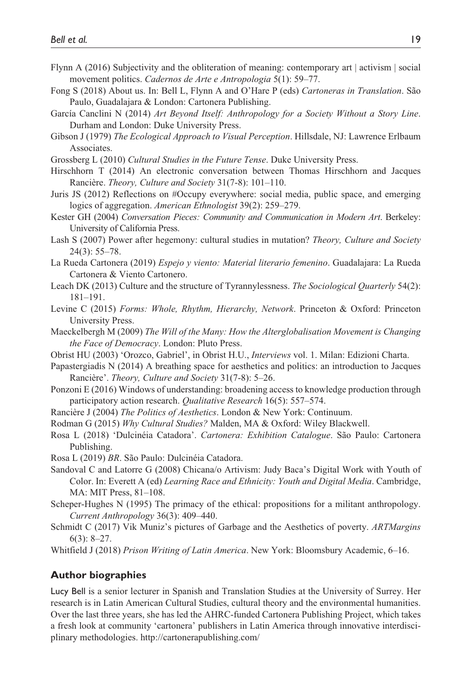- Flynn A (2016) Subjectivity and the obliteration of meaning: contemporary art | activism | social movement politics. *Cadernos de Arte e Antropologia* 5(1): 59–77.
- Fong S (2018) About us. In: Bell L, Flynn A and O'Hare P (eds) *Cartoneras in Translation*. São Paulo, Guadalajara & London: Cartonera Publishing.
- García Canclini N (2014) *Art Beyond Itself: Anthropology for a Society Without a Story Line*. Durham and London: Duke University Press.
- Gibson J (1979) *The Ecological Approach to Visual Perception*. Hillsdale, NJ: Lawrence Erlbaum Associates.

Grossberg L (2010) *Cultural Studies in the Future Tense*. Duke University Press.

- Hirschhorn T (2014) An electronic conversation between Thomas Hirschhorn and Jacques Rancière. *Theory, Culture and Society* 31(7-8): 101–110.
- Juris JS (2012) Reflections on #Occupy everywhere: social media, public space, and emerging logics of aggregation. *American Ethnologist* 39(2): 259–279.
- Kester GH (2004) *Conversation Pieces: Community and Communication in Modern Art*. Berkeley: University of California Press.
- Lash S (2007) Power after hegemony: cultural studies in mutation? *Theory, Culture and Society* 24(3): 55–78.
- La Rueda Cartonera (2019) *Espejo y viento: Material literario femenino*. Guadalajara: La Rueda Cartonera & Viento Cartonero.
- Leach DK (2013) Culture and the structure of Tyrannylessness. *The Sociological Quarterly* 54(2): 181–191.
- Levine C (2015) *Forms: Whole, Rhythm, Hierarchy, Network*. Princeton & Oxford: Princeton University Press.
- Maeckelbergh M (2009) *The Will of the Many: How the Alterglobalisation Movement is Changing the Face of Democracy*. London: Pluto Press.
- Obrist HU (2003) 'Orozco, Gabriel', in Obrist H.U., *Interviews* vol. 1. Milan: Edizioni Charta.

Papastergiadis N (2014) A breathing space for aesthetics and politics: an introduction to Jacques Rancière'. *Theory, Culture and Society* 31(7-8): 5–26.

- Ponzoni E (2016) Windows of understanding: broadening access to knowledge production through participatory action research. *Qualitative Research* 16(5): 557–574.
- Rancière J (2004) *The Politics of Aesthetics*. London & New York: Continuum.
- Rodman G (2015) *Why Cultural Studies?* Malden, MA & Oxford: Wiley Blackwell.
- Rosa L (2018) 'Dulcinéia Catadora'. *Cartonera: Exhibition Catalogue*. São Paulo: Cartonera Publishing.

Rosa L (2019) *BR*. São Paulo: Dulcinéia Catadora.

Sandoval C and Latorre G (2008) Chicana/o Artivism: Judy Baca's Digital Work with Youth of Color. In: Everett A (ed) *Learning Race and Ethnicity: Youth and Digital Media*. Cambridge, MA: MIT Press, 81–108.

Scheper-Hughes N (1995) The primacy of the ethical: propositions for a militant anthropology. *Current Anthropology* 36(3): 409–440.

Schmidt C (2017) Vik Muniz's pictures of Garbage and the Aesthetics of poverty. *ARTMargins* 6(3): 8–27.

Whitfield J (2018) *Prison Writing of Latin America*. New York: Bloomsbury Academic, 6–16.

#### **Author biographies**

Lucy Bell is a senior lecturer in Spanish and Translation Studies at the University of Surrey. Her research is in Latin American Cultural Studies, cultural theory and the environmental humanities. Over the last three years, she has led the AHRC-funded Cartonera Publishing Project, which takes a fresh look at community 'cartonera' publishers in Latin America through innovative interdisciplinary methodologies. http://cartonerapublishing.com/